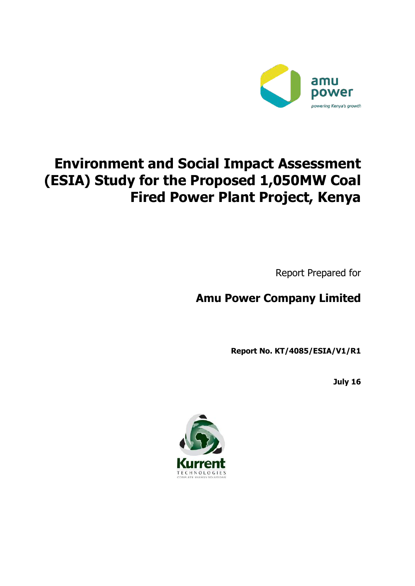

# **Environment and Social Impact Assessment (ESIA) Study for the Proposed 1,050MW Coal Fired Power Plant Project, Kenya**

Report Prepared for

# **Amu Power Company Limited**

**Report No. KT/4085/ESIA/V1/R1**

**July 16**

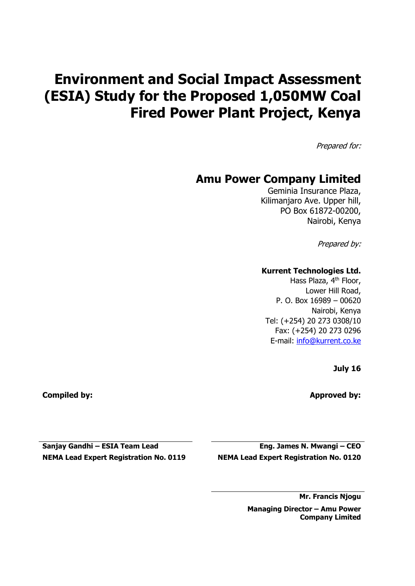# **Environment and Social Impact Assessment (ESIA) Study for the Proposed 1,050MW Coal Fired Power Plant Project, Kenya**

Prepared for:

## **Amu Power Company Limited**

Geminia Insurance Plaza, Kilimanjaro Ave. Upper hill, PO Box 61872-00200, Nairobi, Kenya

Prepared by:

#### **Kurrent Technologies Ltd.**

Hass Plaza, 4<sup>th</sup> Floor, Lower Hill Road, P. O. Box 16989 – 00620 Nairobi, Kenya Tel: (+254) 20 273 0308/10 Fax: (+254) 20 273 0296 E-mail: [info@kurrent.co.ke](mailto:info@kurrent.co.ke)

**July 16**

**Compiled by: Approved by:**

**Sanjay Gandhi – ESIA Team Lead**

**NEMA Lead Expert Registration No. 0119**

**Eng. James N. Mwangi – CEO NEMA Lead Expert Registration No. 0120**

> **Mr. Francis Njogu Managing Director – Amu Power**

**Company Limited**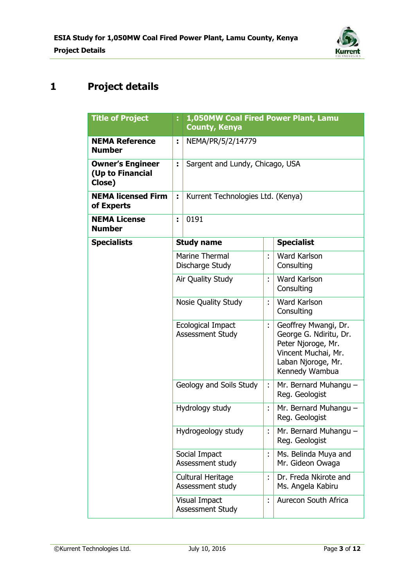

# **1 Project details**

| <b>Title of Project</b>                               | E.                | 1,050MW Coal Fired Power Plant, Lamu<br><b>County, Kenya</b> |    |                                                                                                                                     |
|-------------------------------------------------------|-------------------|--------------------------------------------------------------|----|-------------------------------------------------------------------------------------------------------------------------------------|
| <b>NEMA Reference</b><br><b>Number</b>                | ÷                 | NEMA/PR/5/2/14779                                            |    |                                                                                                                                     |
| <b>Owner's Engineer</b><br>(Up to Financial<br>Close) | ÷                 | Sargent and Lundy, Chicago, USA                              |    |                                                                                                                                     |
| <b>NEMA licensed Firm</b><br>of Experts               | ÷                 | Kurrent Technologies Ltd. (Kenya)                            |    |                                                                                                                                     |
| <b>NEMA License</b><br><b>Number</b>                  | ÷                 | 0191                                                         |    |                                                                                                                                     |
| <b>Specialists</b>                                    |                   | <b>Study name</b>                                            |    | <b>Specialist</b>                                                                                                                   |
|                                                       |                   | <b>Marine Thermal</b><br>Discharge Study                     |    | <b>Ward Karlson</b><br>Consulting                                                                                                   |
|                                                       | Air Quality Study |                                                              | ÷  | <b>Ward Karlson</b><br>Consulting                                                                                                   |
|                                                       |                   | Nosie Quality Study                                          | t  | <b>Ward Karlson</b><br>Consulting                                                                                                   |
|                                                       |                   | Ecological Impact<br>Assessment Study                        | t. | Geoffrey Mwangi, Dr.<br>George G. Ndiritu, Dr.<br>Peter Njoroge, Mr.<br>Vincent Muchai, Mr.<br>Laban Njoroge, Mr.<br>Kennedy Wambua |
|                                                       |                   | Geology and Soils Study                                      |    | Mr. Bernard Muhangu -<br>Reg. Geologist                                                                                             |
|                                                       |                   | Hydrology study                                              | ł, | Mr. Bernard Muhangu -<br>Reg. Geologist                                                                                             |
|                                                       |                   | Hydrogeology study                                           |    | Mr. Bernard Muhangu -<br>Reg. Geologist                                                                                             |
|                                                       |                   | Social Impact<br>Assessment study                            | t, | Ms. Belinda Muya and<br>Mr. Gideon Owaga                                                                                            |
|                                                       |                   | Cultural Heritage<br>Assessment study                        |    | Dr. Freda Nkirote and<br>Ms. Angela Kabiru                                                                                          |
|                                                       |                   | Visual Impact<br>Assessment Study                            |    | Aurecon South Africa                                                                                                                |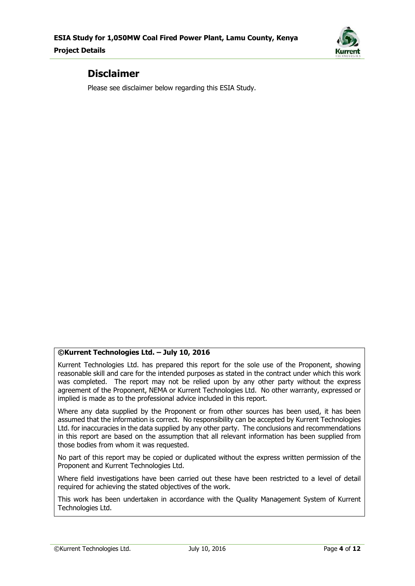

### **Disclaimer**

Please see disclaimer below regarding this ESIA Study.

#### **©Kurrent Technologies Ltd. – July 10, 2016**

Kurrent Technologies Ltd. has prepared this report for the sole use of the Proponent, showing reasonable skill and care for the intended purposes as stated in the contract under which this work was completed. The report may not be relied upon by any other party without the express agreement of the Proponent, NEMA or Kurrent Technologies Ltd. No other warranty, expressed or implied is made as to the professional advice included in this report.

Where any data supplied by the Proponent or from other sources has been used, it has been assumed that the information is correct. No responsibility can be accepted by Kurrent Technologies Ltd. for inaccuracies in the data supplied by any other party. The conclusions and recommendations in this report are based on the assumption that all relevant information has been supplied from those bodies from whom it was requested.

No part of this report may be copied or duplicated without the express written permission of the Proponent and Kurrent Technologies Ltd.

Where field investigations have been carried out these have been restricted to a level of detail required for achieving the stated objectives of the work.

This work has been undertaken in accordance with the Quality Management System of Kurrent Technologies Ltd.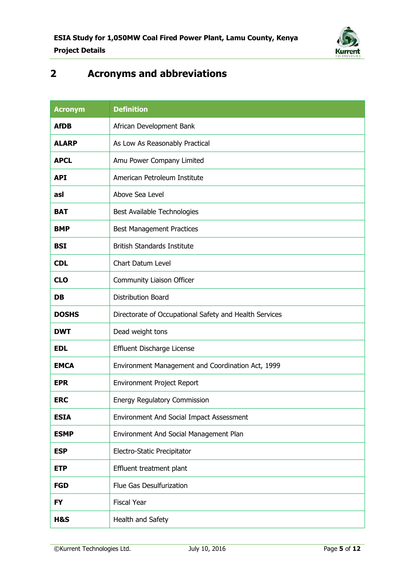

## **2 Acronyms and abbreviations**

| <b>Acronym</b> | <b>Definition</b>                                      |
|----------------|--------------------------------------------------------|
| <b>AfDB</b>    | African Development Bank                               |
| <b>ALARP</b>   | As Low As Reasonably Practical                         |
| <b>APCL</b>    | Amu Power Company Limited                              |
| <b>API</b>     | American Petroleum Institute                           |
| asl            | Above Sea Level                                        |
| <b>BAT</b>     | Best Available Technologies                            |
| <b>BMP</b>     | <b>Best Management Practices</b>                       |
| <b>BSI</b>     | <b>British Standards Institute</b>                     |
| <b>CDL</b>     | <b>Chart Datum Level</b>                               |
| <b>CLO</b>     | Community Liaison Officer                              |
| <b>DB</b>      | <b>Distribution Board</b>                              |
| <b>DOSHS</b>   | Directorate of Occupational Safety and Health Services |
| <b>DWT</b>     | Dead weight tons                                       |
| <b>EDL</b>     | Effluent Discharge License                             |
| <b>EMCA</b>    | Environment Management and Coordination Act, 1999      |
| <b>EPR</b>     | Environment Project Report                             |
| <b>ERC</b>     | Energy Regulatory Commission                           |
| <b>ESIA</b>    | Environment And Social Impact Assessment               |
| <b>ESMP</b>    | Environment And Social Management Plan                 |
| <b>ESP</b>     | Electro-Static Precipitator                            |
| <b>ETP</b>     | Effluent treatment plant                               |
| <b>FGD</b>     | Flue Gas Desulfurization                               |
| <b>FY</b>      | <b>Fiscal Year</b>                                     |
| H&S            | Health and Safety                                      |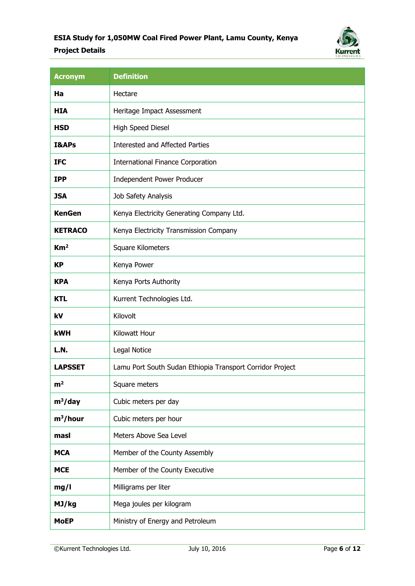### **ESIA Study for 1,050MW Coal Fired Power Plant, Lamu County, Kenya Project Details**



| <b>Acronym</b>   | <b>Definition</b>                                         |
|------------------|-----------------------------------------------------------|
| Ha               | Hectare                                                   |
| <b>HIA</b>       | Heritage Impact Assessment                                |
| <b>HSD</b>       | High Speed Diesel                                         |
| <b>I&amp;APs</b> | <b>Interested and Affected Parties</b>                    |
| <b>IFC</b>       | <b>International Finance Corporation</b>                  |
| <b>IPP</b>       | Independent Power Producer                                |
| <b>JSA</b>       | Job Safety Analysis                                       |
| <b>KenGen</b>    | Kenya Electricity Generating Company Ltd.                 |
| <b>KETRACO</b>   | Kenya Electricity Transmission Company                    |
| Km <sup>2</sup>  | Square Kilometers                                         |
| <b>KP</b>        | Kenya Power                                               |
| <b>KPA</b>       | Kenya Ports Authority                                     |
| KTL              | Kurrent Technologies Ltd.                                 |
| kV               | Kilovolt                                                  |
| <b>kWH</b>       | Kilowatt Hour                                             |
| L.N.             | Legal Notice                                              |
| <b>LAPSSET</b>   | Lamu Port South Sudan Ethiopia Transport Corridor Project |
| m <sup>2</sup>   | Square meters                                             |
| $m^3$ /day       | Cubic meters per day                                      |
| $m^3/h$ our      | Cubic meters per hour                                     |
| masl             | Meters Above Sea Level                                    |
| <b>MCA</b>       | Member of the County Assembly                             |
| <b>MCE</b>       | Member of the County Executive                            |
| mg/l             | Milligrams per liter                                      |
| MJ/kg            | Mega joules per kilogram                                  |
| <b>MoEP</b>      | Ministry of Energy and Petroleum                          |

©Kurrent Technologies Ltd. July 10, 2016 Page **6** of **12**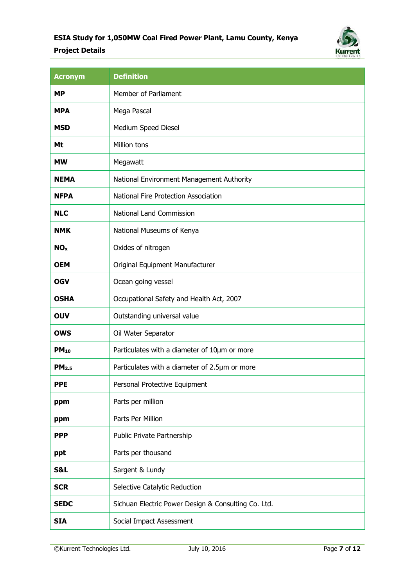### **ESIA Study for 1,050MW Coal Fired Power Plant, Lamu County, Kenya Project Details**



| <b>Acronym</b>    | <b>Definition</b>                                   |
|-------------------|-----------------------------------------------------|
| <b>MP</b>         | Member of Parliament                                |
| <b>MPA</b>        | Mega Pascal                                         |
| <b>MSD</b>        | Medium Speed Diesel                                 |
| Mt                | Million tons                                        |
| <b>MW</b>         | Megawatt                                            |
| <b>NEMA</b>       | National Environment Management Authority           |
| <b>NFPA</b>       | National Fire Protection Association                |
| <b>NLC</b>        | National Land Commission                            |
| <b>NMK</b>        | National Museums of Kenya                           |
| NO <sub>x</sub>   | Oxides of nitrogen                                  |
| <b>OEM</b>        | Original Equipment Manufacturer                     |
| <b>OGV</b>        | Ocean going vessel                                  |
| <b>OSHA</b>       | Occupational Safety and Health Act, 2007            |
| <b>OUV</b>        | Outstanding universal value                         |
| <b>OWS</b>        | Oil Water Separator                                 |
| $PM_{10}$         | Particulates with a diameter of 10µm or more        |
| PM <sub>2.5</sub> | Particulates with a diameter of 2.5µm or more       |
| <b>PPE</b>        | Personal Protective Equipment                       |
| ppm               | Parts per million                                   |
| ppm               | Parts Per Million                                   |
| <b>PPP</b>        | Public Private Partnership                          |
| ppt               | Parts per thousand                                  |
| S&L               | Sargent & Lundy                                     |
| <b>SCR</b>        | Selective Catalytic Reduction                       |
| <b>SEDC</b>       | Sichuan Electric Power Design & Consulting Co. Ltd. |
| <b>SIA</b>        | Social Impact Assessment                            |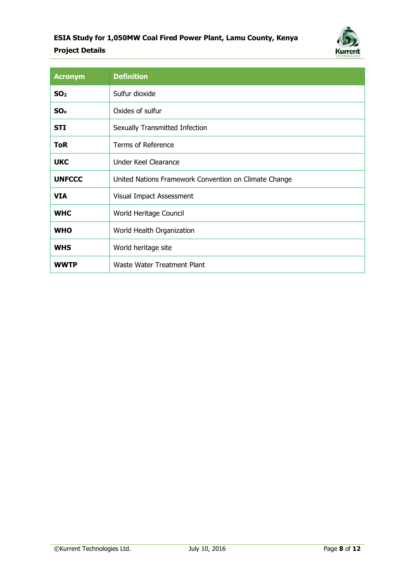### **ESIA Study for 1,050MW Coal Fired Power Plant, Lamu County, Kenya Project Details**



| <b>Acronym</b>  | <b>Definition</b>                                     |
|-----------------|-------------------------------------------------------|
| SO <sub>2</sub> | Sulfur dioxide                                        |
| SO <sub>x</sub> | Oxides of sulfur                                      |
| <b>STI</b>      | Sexually Transmitted Infection                        |
| <b>ToR</b>      | <b>Terms of Reference</b>                             |
| <b>UKC</b>      | <b>Under Keel Clearance</b>                           |
| <b>UNFCCC</b>   | United Nations Framework Convention on Climate Change |
| <b>VIA</b>      | Visual Impact Assessment                              |
| <b>WHC</b>      | World Heritage Council                                |
| <b>WHO</b>      | World Health Organization                             |
| <b>WHS</b>      | World heritage site                                   |
| WWTP            | Waste Water Treatment Plant                           |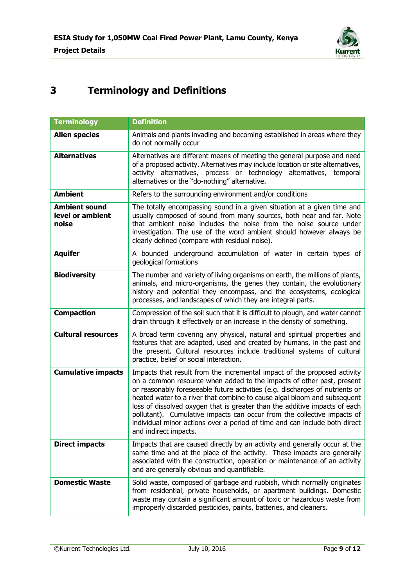

# **3 Terminology and Definitions**

| <b>Terminology</b>                                | <b>Definition</b>                                                                                                                                                                                                                                                                                                                                                                                                                                                                                                                                                             |
|---------------------------------------------------|-------------------------------------------------------------------------------------------------------------------------------------------------------------------------------------------------------------------------------------------------------------------------------------------------------------------------------------------------------------------------------------------------------------------------------------------------------------------------------------------------------------------------------------------------------------------------------|
| <b>Alien species</b>                              | Animals and plants invading and becoming established in areas where they<br>do not normally occur                                                                                                                                                                                                                                                                                                                                                                                                                                                                             |
| <b>Alternatives</b>                               | Alternatives are different means of meeting the general purpose and need<br>of a proposed activity. Alternatives may include location or site alternatives,<br>activity alternatives, process or technology alternatives, temporal<br>alternatives or the "do-nothing" alternative.                                                                                                                                                                                                                                                                                           |
| <b>Ambient</b>                                    | Refers to the surrounding environment and/or conditions                                                                                                                                                                                                                                                                                                                                                                                                                                                                                                                       |
| <b>Ambient sound</b><br>level or ambient<br>noise | The totally encompassing sound in a given situation at a given time and<br>usually composed of sound from many sources, both near and far. Note<br>that ambient noise includes the noise from the noise source under<br>investigation. The use of the word ambient should however always be<br>clearly defined (compare with residual noise).                                                                                                                                                                                                                                 |
| <b>Aquifer</b>                                    | A bounded underground accumulation of water in certain types of<br>geological formations                                                                                                                                                                                                                                                                                                                                                                                                                                                                                      |
| <b>Biodiversity</b>                               | The number and variety of living organisms on earth, the millions of plants,<br>animals, and micro-organisms, the genes they contain, the evolutionary<br>history and potential they encompass, and the ecosystems, ecological<br>processes, and landscapes of which they are integral parts.                                                                                                                                                                                                                                                                                 |
| <b>Compaction</b>                                 | Compression of the soil such that it is difficult to plough, and water cannot<br>drain through it effectively or an increase in the density of something.                                                                                                                                                                                                                                                                                                                                                                                                                     |
| <b>Cultural resources</b>                         | A broad term covering any physical, natural and spiritual properties and<br>features that are adapted, used and created by humans, in the past and<br>the present. Cultural resources include traditional systems of cultural<br>practice, belief or social interaction.                                                                                                                                                                                                                                                                                                      |
| <b>Cumulative impacts</b>                         | Impacts that result from the incremental impact of the proposed activity<br>on a common resource when added to the impacts of other past, present<br>or reasonably foreseeable future activities (e.g. discharges of nutrients or<br>heated water to a river that combine to cause algal bloom and subsequent<br>loss of dissolved oxygen that is greater than the additive impacts of each<br>pollutant). Cumulative impacts can occur from the collective impacts of<br>individual minor actions over a period of time and can include both direct<br>and indirect impacts. |
| <b>Direct impacts</b>                             | Impacts that are caused directly by an activity and generally occur at the<br>same time and at the place of the activity. These impacts are generally<br>associated with the construction, operation or maintenance of an activity<br>and are generally obvious and quantifiable.                                                                                                                                                                                                                                                                                             |
| <b>Domestic Waste</b>                             | Solid waste, composed of garbage and rubbish, which normally originates<br>from residential, private households, or apartment buildings. Domestic<br>waste may contain a significant amount of toxic or hazardous waste from<br>improperly discarded pesticides, paints, batteries, and cleaners.                                                                                                                                                                                                                                                                             |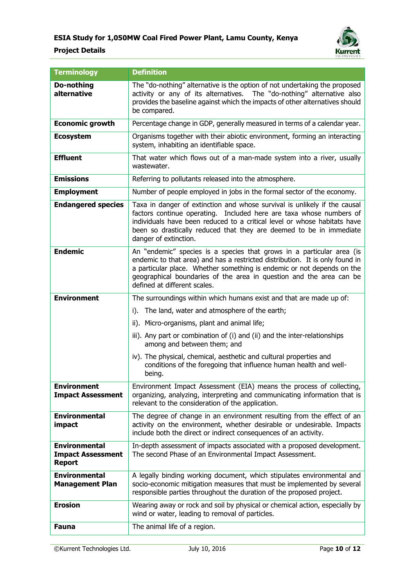

| <b>Terminology</b>                                                | <b>Definition</b>                                                                                                                                                                                                                                                                                                                      |
|-------------------------------------------------------------------|----------------------------------------------------------------------------------------------------------------------------------------------------------------------------------------------------------------------------------------------------------------------------------------------------------------------------------------|
| Do-nothing<br>alternative                                         | The "do-nothing" alternative is the option of not undertaking the proposed<br>activity or any of its alternatives.<br>The "do-nothing" alternative also<br>provides the baseline against which the impacts of other alternatives should<br>be compared.                                                                                |
| <b>Economic growth</b>                                            | Percentage change in GDP, generally measured in terms of a calendar year.                                                                                                                                                                                                                                                              |
| <b>Ecosystem</b>                                                  | Organisms together with their abiotic environment, forming an interacting<br>system, inhabiting an identifiable space.                                                                                                                                                                                                                 |
| <b>Effluent</b>                                                   | That water which flows out of a man-made system into a river, usually<br>wastewater.                                                                                                                                                                                                                                                   |
| <b>Emissions</b>                                                  | Referring to pollutants released into the atmosphere.                                                                                                                                                                                                                                                                                  |
| <b>Employment</b>                                                 | Number of people employed in jobs in the formal sector of the economy.                                                                                                                                                                                                                                                                 |
| <b>Endangered species</b>                                         | Taxa in danger of extinction and whose survival is unlikely if the causal<br>factors continue operating. Included here are taxa whose numbers of<br>individuals have been reduced to a critical level or whose habitats have<br>been so drastically reduced that they are deemed to be in immediate<br>danger of extinction.           |
| <b>Endemic</b>                                                    | An "endemic" species is a species that grows in a particular area (is<br>endemic to that area) and has a restricted distribution. It is only found in<br>a particular place. Whether something is endemic or not depends on the<br>geographical boundaries of the area in question and the area can be<br>defined at different scales. |
| <b>Environment</b>                                                | The surroundings within which humans exist and that are made up of:                                                                                                                                                                                                                                                                    |
|                                                                   | The land, water and atmosphere of the earth;<br>i).                                                                                                                                                                                                                                                                                    |
|                                                                   | ii). Micro-organisms, plant and animal life;                                                                                                                                                                                                                                                                                           |
|                                                                   | iii). Any part or combination of (i) and (ii) and the inter-relationships<br>among and between them; and                                                                                                                                                                                                                               |
|                                                                   | iv). The physical, chemical, aesthetic and cultural properties and<br>conditions of the foregoing that influence human health and well-<br>being.                                                                                                                                                                                      |
| <b>Environment</b><br><b>Impact Assessment</b>                    | Environment Impact Assessment (EIA) means the process of collecting,<br>organizing, analyzing, interpreting and communicating information that is<br>relevant to the consideration of the application.                                                                                                                                 |
| <b>Environmental</b><br>impact                                    | The degree of change in an environment resulting from the effect of an<br>activity on the environment, whether desirable or undesirable. Impacts<br>include both the direct or indirect consequences of an activity.                                                                                                                   |
| <b>Environmental</b><br><b>Impact Assessment</b><br><b>Report</b> | In-depth assessment of impacts associated with a proposed development.<br>The second Phase of an Environmental Impact Assessment.                                                                                                                                                                                                      |
| <b>Environmental</b><br><b>Management Plan</b>                    | A legally binding working document, which stipulates environmental and<br>socio-economic mitigation measures that must be implemented by several<br>responsible parties throughout the duration of the proposed project.                                                                                                               |
| <b>Erosion</b>                                                    | Wearing away or rock and soil by physical or chemical action, especially by<br>wind or water, leading to removal of particles.                                                                                                                                                                                                         |
| <b>Fauna</b>                                                      | The animal life of a region.                                                                                                                                                                                                                                                                                                           |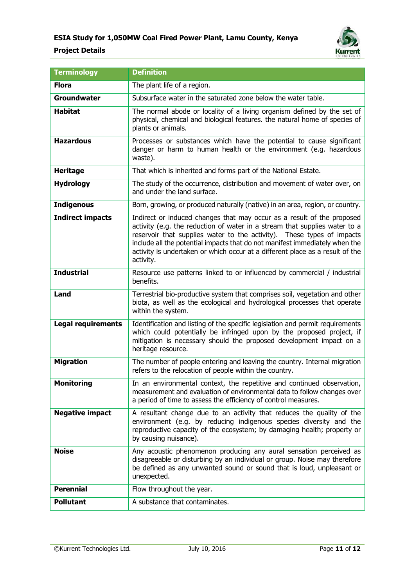

| <b>Terminology</b>        | <b>Definition</b>                                                                                                                                                                                                                                                                                                                                                                                           |
|---------------------------|-------------------------------------------------------------------------------------------------------------------------------------------------------------------------------------------------------------------------------------------------------------------------------------------------------------------------------------------------------------------------------------------------------------|
| <b>Flora</b>              | The plant life of a region.                                                                                                                                                                                                                                                                                                                                                                                 |
| <b>Groundwater</b>        | Subsurface water in the saturated zone below the water table.                                                                                                                                                                                                                                                                                                                                               |
| <b>Habitat</b>            | The normal abode or locality of a living organism defined by the set of<br>physical, chemical and biological features. the natural home of species of<br>plants or animals.                                                                                                                                                                                                                                 |
| <b>Hazardous</b>          | Processes or substances which have the potential to cause significant<br>danger or harm to human health or the environment (e.g. hazardous<br>waste).                                                                                                                                                                                                                                                       |
| <b>Heritage</b>           | That which is inherited and forms part of the National Estate.                                                                                                                                                                                                                                                                                                                                              |
| <b>Hydrology</b>          | The study of the occurrence, distribution and movement of water over, on<br>and under the land surface.                                                                                                                                                                                                                                                                                                     |
| <b>Indigenous</b>         | Born, growing, or produced naturally (native) in an area, region, or country.                                                                                                                                                                                                                                                                                                                               |
| <b>Indirect impacts</b>   | Indirect or induced changes that may occur as a result of the proposed<br>activity (e.g. the reduction of water in a stream that supplies water to a<br>reservoir that supplies water to the activity). These types of impacts<br>include all the potential impacts that do not manifest immediately when the<br>activity is undertaken or which occur at a different place as a result of the<br>activity. |
| <b>Industrial</b>         | Resource use patterns linked to or influenced by commercial / industrial<br>benefits.                                                                                                                                                                                                                                                                                                                       |
| Land                      | Terrestrial bio-productive system that comprises soil, vegetation and other<br>biota, as well as the ecological and hydrological processes that operate<br>within the system.                                                                                                                                                                                                                               |
| <b>Legal requirements</b> | Identification and listing of the specific legislation and permit requirements<br>which could potentially be infringed upon by the proposed project, if<br>mitigation is necessary should the proposed development impact on a<br>heritage resource.                                                                                                                                                        |
| <b>Migration</b>          | The number of people entering and leaving the country. Internal migration<br>refers to the relocation of people within the country.                                                                                                                                                                                                                                                                         |
| <b>Monitoring</b>         | In an environmental context, the repetitive and continued observation,<br>measurement and evaluation of environmental data to follow changes over<br>a period of time to assess the efficiency of control measures.                                                                                                                                                                                         |
| <b>Negative impact</b>    | A resultant change due to an activity that reduces the quality of the<br>environment (e.g. by reducing indigenous species diversity and the<br>reproductive capacity of the ecosystem; by damaging health; property or<br>by causing nuisance).                                                                                                                                                             |
| <b>Noise</b>              | Any acoustic phenomenon producing any aural sensation perceived as<br>disagreeable or disturbing by an individual or group. Noise may therefore<br>be defined as any unwanted sound or sound that is loud, unpleasant or<br>unexpected.                                                                                                                                                                     |
| <b>Perennial</b>          | Flow throughout the year.                                                                                                                                                                                                                                                                                                                                                                                   |
| <b>Pollutant</b>          | A substance that contaminates.                                                                                                                                                                                                                                                                                                                                                                              |